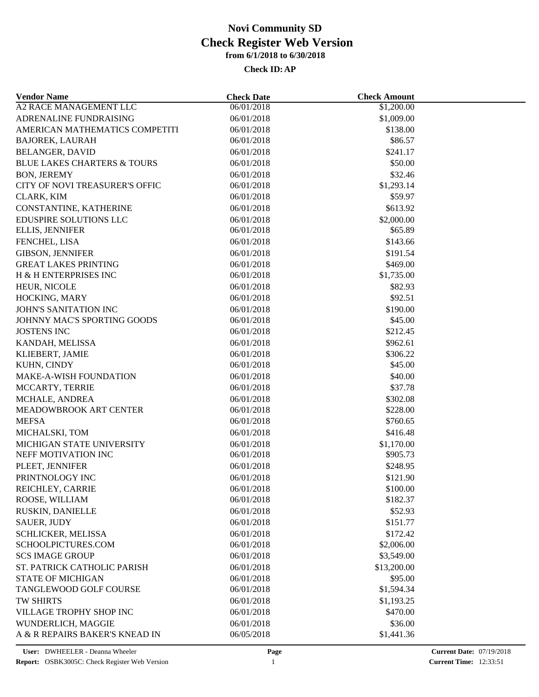| <b>Vendor Name</b>                     | <b>Check Date</b>        | <b>Check Amount</b>    |  |
|----------------------------------------|--------------------------|------------------------|--|
| A2 RACE MANAGEMENT LLC                 | 06/01/2018               | \$1,200.00             |  |
| ADRENALINE FUNDRAISING                 | 06/01/2018               | \$1,009.00             |  |
| AMERICAN MATHEMATICS COMPETITI         | 06/01/2018               | \$138.00               |  |
| <b>BAJOREK, LAURAH</b>                 | 06/01/2018               | \$86.57                |  |
| <b>BELANGER, DAVID</b>                 | 06/01/2018               | \$241.17               |  |
| <b>BLUE LAKES CHARTERS &amp; TOURS</b> | 06/01/2018               | \$50.00                |  |
| <b>BON, JEREMY</b>                     | 06/01/2018               | \$32.46                |  |
| CITY OF NOVI TREASURER'S OFFIC         | 06/01/2018               | \$1,293.14             |  |
| CLARK, KIM                             | 06/01/2018               | \$59.97                |  |
| CONSTANTINE, KATHERINE                 | 06/01/2018               | \$613.92               |  |
| EDUSPIRE SOLUTIONS LLC                 | 06/01/2018               | \$2,000.00             |  |
| ELLIS, JENNIFER                        | 06/01/2018               | \$65.89                |  |
| FENCHEL, LISA                          | 06/01/2018               | \$143.66               |  |
| <b>GIBSON, JENNIFER</b>                | 06/01/2018               | \$191.54               |  |
| <b>GREAT LAKES PRINTING</b>            | 06/01/2018               | \$469.00               |  |
| H & H ENTERPRISES INC                  | 06/01/2018               | \$1,735.00             |  |
| HEUR, NICOLE                           | 06/01/2018               | \$82.93                |  |
| HOCKING, MARY                          | 06/01/2018               | \$92.51                |  |
| <b>JOHN'S SANITATION INC</b>           | 06/01/2018               | \$190.00               |  |
| JOHNNY MAC'S SPORTING GOODS            | 06/01/2018               | \$45.00                |  |
| <b>JOSTENS INC</b>                     | 06/01/2018               | \$212.45               |  |
| KANDAH, MELISSA                        | 06/01/2018               | \$962.61               |  |
| KLIEBERT, JAMIE                        | 06/01/2018               | \$306.22               |  |
| KUHN, CINDY                            | 06/01/2018               | \$45.00                |  |
| <b>MAKE-A-WISH FOUNDATION</b>          | 06/01/2018               | \$40.00                |  |
| MCCARTY, TERRIE                        | 06/01/2018               | \$37.78                |  |
| MCHALE, ANDREA                         | 06/01/2018               | \$302.08               |  |
| MEADOWBROOK ART CENTER                 | 06/01/2018               | \$228.00               |  |
| <b>MEFSA</b>                           | 06/01/2018               | \$760.65               |  |
| MICHALSKI, TOM                         | 06/01/2018               | \$416.48               |  |
| MICHIGAN STATE UNIVERSITY              | 06/01/2018               | \$1,170.00             |  |
| NEFF MOTIVATION INC                    | 06/01/2018               | \$905.73               |  |
| PLEET, JENNIFER                        | 06/01/2018               | \$248.95               |  |
| PRINTNOLOGY INC                        | 06/01/2018               | \$121.90               |  |
|                                        |                          | \$100.00               |  |
| REICHLEY, CARRIE<br>ROOSE, WILLIAM     | 06/01/2018<br>06/01/2018 | \$182.37               |  |
| RUSKIN, DANIELLE                       | 06/01/2018               | \$52.93                |  |
|                                        |                          |                        |  |
| <b>SAUER, JUDY</b>                     | 06/01/2018               | \$151.77               |  |
| SCHLICKER, MELISSA                     | 06/01/2018               | \$172.42<br>\$2,006.00 |  |
| SCHOOLPICTURES.COM                     | 06/01/2018               |                        |  |
| <b>SCS IMAGE GROUP</b>                 | 06/01/2018               | \$3,549.00             |  |
| ST. PATRICK CATHOLIC PARISH            | 06/01/2018               | \$13,200.00            |  |
| <b>STATE OF MICHIGAN</b>               | 06/01/2018               | \$95.00                |  |
| TANGLEWOOD GOLF COURSE                 | 06/01/2018               | \$1,594.34             |  |
| <b>TW SHIRTS</b>                       | 06/01/2018               | \$1,193.25             |  |
| VILLAGE TROPHY SHOP INC                | 06/01/2018               | \$470.00               |  |
| WUNDERLICH, MAGGIE                     | 06/01/2018               | \$36.00                |  |
| A & R REPAIRS BAKER'S KNEAD IN         | 06/05/2018               | \$1,441.36             |  |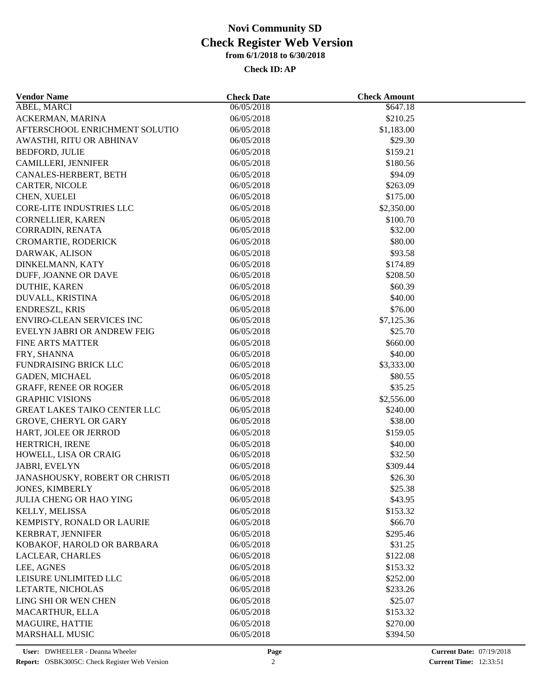| <b>Vendor Name</b>                  | <b>Check Date</b> | <b>Check Amount</b> |  |
|-------------------------------------|-------------------|---------------------|--|
| <b>ABEL, MARCI</b>                  | 06/05/2018        | \$647.18            |  |
| ACKERMAN, MARINA                    | 06/05/2018        | \$210.25            |  |
| AFTERSCHOOL ENRICHMENT SOLUTIO      | 06/05/2018        | \$1,183.00          |  |
| AWASTHI, RITU OR ABHINAV            | 06/05/2018        | \$29.30             |  |
| <b>BEDFORD, JULIE</b>               | 06/05/2018        | \$159.21            |  |
| CAMILLERI, JENNIFER                 | 06/05/2018        | \$180.56            |  |
| CANALES-HERBERT, BETH               | 06/05/2018        | \$94.09             |  |
| CARTER, NICOLE                      | 06/05/2018        | \$263.09            |  |
| CHEN, XUELEI                        | 06/05/2018        | \$175.00            |  |
| <b>CORE-LITE INDUSTRIES LLC</b>     | 06/05/2018        | \$2,350.00          |  |
| CORNELLIER, KAREN                   | 06/05/2018        | \$100.70            |  |
| CORRADIN, RENATA                    | 06/05/2018        | \$32.00             |  |
| CROMARTIE, RODERICK                 | 06/05/2018        | \$80.00             |  |
| DARWAK, ALISON                      | 06/05/2018        | \$93.58             |  |
| DINKELMANN, KATY                    | 06/05/2018        | \$174.89            |  |
| DUFF, JOANNE OR DAVE                | 06/05/2018        | \$208.50            |  |
| DUTHIE, KAREN                       | 06/05/2018        | \$60.39             |  |
| DUVALL, KRISTINA                    | 06/05/2018        | \$40.00             |  |
| ENDRESZL, KRIS                      | 06/05/2018        | \$76.00             |  |
| <b>ENVIRO-CLEAN SERVICES INC</b>    | 06/05/2018        | \$7,125.36          |  |
| EVELYN JABRI OR ANDREW FEIG         | 06/05/2018        | \$25.70             |  |
| <b>FINE ARTS MATTER</b>             | 06/05/2018        | \$660.00            |  |
| FRY, SHANNA                         | 06/05/2018        | \$40.00             |  |
| <b>FUNDRAISING BRICK LLC</b>        | 06/05/2018        | \$3,333.00          |  |
| GADEN, MICHAEL                      | 06/05/2018        | \$80.55             |  |
| <b>GRAFF, RENEE OR ROGER</b>        | 06/05/2018        | \$35.25             |  |
| <b>GRAPHIC VISIONS</b>              | 06/05/2018        | \$2,556.00          |  |
| <b>GREAT LAKES TAIKO CENTER LLC</b> | 06/05/2018        | \$240.00            |  |
| <b>GROVE, CHERYL OR GARY</b>        | 06/05/2018        | \$38.00             |  |
|                                     |                   |                     |  |
| HART, JOLEE OR JERROD               | 06/05/2018        | \$159.05            |  |
| HERTRICH, IRENE                     | 06/05/2018        | \$40.00             |  |
| HOWELL, LISA OR CRAIG               | 06/05/2018        | \$32.50<br>\$309.44 |  |
| JABRI, EVELYN                       | 06/05/2018        |                     |  |
| JANASHOUSKY, ROBERT OR CHRISTI      | 06/05/2018        | \$26.30             |  |
| JONES, KIMBERLY                     | 06/05/2018        | \$25.38             |  |
| <b>JULIA CHENG OR HAO YING</b>      | 06/05/2018        | \$43.95             |  |
| KELLY, MELISSA                      | 06/05/2018        | \$153.32            |  |
| KEMPISTY, RONALD OR LAURIE          | 06/05/2018        | \$66.70             |  |
| KERBRAT, JENNIFER                   | 06/05/2018        | \$295.46            |  |
| KOBAKOF, HAROLD OR BARBARA          | 06/05/2018        | \$31.25             |  |
| LACLEAR, CHARLES                    | 06/05/2018        | \$122.08            |  |
| LEE, AGNES                          | 06/05/2018        | \$153.32            |  |
| LEISURE UNLIMITED LLC               | 06/05/2018        | \$252.00            |  |
| LETARTE, NICHOLAS                   | 06/05/2018        | \$233.26            |  |
| LING SHI OR WEN CHEN                | 06/05/2018        | \$25.07             |  |
| MACARTHUR, ELLA                     | 06/05/2018        | \$153.32            |  |
| MAGUIRE, HATTIE                     | 06/05/2018        | \$270.00            |  |
| <b>MARSHALL MUSIC</b>               | 06/05/2018        | \$394.50            |  |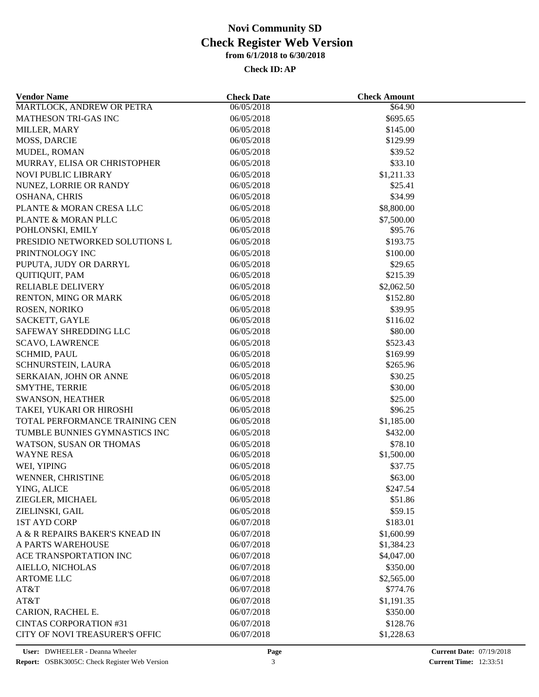| <b>Vendor Name</b>                                  | <b>Check Date</b>        | <b>Check Amount</b> |  |
|-----------------------------------------------------|--------------------------|---------------------|--|
| MARTLOCK, ANDREW OR PETRA                           | 06/05/2018               | \$64.90             |  |
| <b>MATHESON TRI-GAS INC</b>                         | 06/05/2018               | \$695.65            |  |
| MILLER, MARY                                        | 06/05/2018               | \$145.00            |  |
| MOSS, DARCIE                                        | 06/05/2018               | \$129.99            |  |
| MUDEL, ROMAN                                        | 06/05/2018               | \$39.52             |  |
| MURRAY, ELISA OR CHRISTOPHER                        | 06/05/2018               | \$33.10             |  |
| NOVI PUBLIC LIBRARY                                 | 06/05/2018               | \$1,211.33          |  |
| NUNEZ, LORRIE OR RANDY                              | 06/05/2018               | \$25.41             |  |
| OSHANA, CHRIS                                       | 06/05/2018               | \$34.99             |  |
| PLANTE & MORAN CRESA LLC                            | 06/05/2018               | \$8,800.00          |  |
| PLANTE & MORAN PLLC                                 | 06/05/2018               | \$7,500.00          |  |
| POHLONSKI, EMILY                                    | 06/05/2018               | \$95.76             |  |
| PRESIDIO NETWORKED SOLUTIONS L                      | 06/05/2018               | \$193.75            |  |
| PRINTNOLOGY INC                                     | 06/05/2018               | \$100.00            |  |
| PUPUTA, JUDY OR DARRYL                              | 06/05/2018               | \$29.65             |  |
| <b>QUITIQUIT, PAM</b>                               | 06/05/2018               | \$215.39            |  |
| RELIABLE DELIVERY                                   | 06/05/2018               | \$2,062.50          |  |
| RENTON, MING OR MARK                                | 06/05/2018               | \$152.80            |  |
| ROSEN, NORIKO                                       | 06/05/2018               | \$39.95             |  |
| SACKETT, GAYLE                                      | 06/05/2018               | \$116.02            |  |
| SAFEWAY SHREDDING LLC                               | 06/05/2018               | \$80.00             |  |
| <b>SCAVO, LAWRENCE</b>                              | 06/05/2018               | \$523.43            |  |
| <b>SCHMID, PAUL</b>                                 | 06/05/2018               | \$169.99            |  |
| SCHNURSTEIN, LAURA                                  | 06/05/2018               | \$265.96            |  |
| SERKAIAN, JOHN OR ANNE                              | 06/05/2018               | \$30.25             |  |
| <b>SMYTHE, TERRIE</b>                               | 06/05/2018               | \$30.00             |  |
|                                                     |                          | \$25.00             |  |
| <b>SWANSON, HEATHER</b><br>TAKEI, YUKARI OR HIROSHI | 06/05/2018<br>06/05/2018 | \$96.25             |  |
|                                                     |                          |                     |  |
| TOTAL PERFORMANCE TRAINING CEN                      | 06/05/2018               | \$1,185.00          |  |
| TUMBLE BUNNIES GYMNASTICS INC                       | 06/05/2018               | \$432.00            |  |
| WATSON, SUSAN OR THOMAS                             | 06/05/2018               | \$78.10             |  |
| <b>WAYNE RESA</b>                                   | 06/05/2018               | \$1,500.00          |  |
| WEI, YIPING                                         | 06/05/2018               | \$37.75             |  |
| WENNER, CHRISTINE                                   | 06/05/2018               | \$63.00             |  |
| YING, ALICE                                         | 06/05/2018               | \$247.54            |  |
| ZIEGLER, MICHAEL                                    | 06/05/2018               | \$51.86             |  |
| ZIELINSKI, GAIL                                     | 06/05/2018               | \$59.15             |  |
| <b>1ST AYD CORP</b>                                 | 06/07/2018               | \$183.01            |  |
| A & R REPAIRS BAKER'S KNEAD IN                      | 06/07/2018               | \$1,600.99          |  |
| A PARTS WAREHOUSE                                   | 06/07/2018               | \$1,384.23          |  |
| ACE TRANSPORTATION INC                              | 06/07/2018               | \$4,047.00          |  |
| AIELLO, NICHOLAS                                    | 06/07/2018               | \$350.00            |  |
| <b>ARTOME LLC</b>                                   | 06/07/2018               | \$2,565.00          |  |
| AT&T                                                | 06/07/2018               | \$774.76            |  |
| AT&T                                                | 06/07/2018               | \$1,191.35          |  |
| CARION, RACHEL E.                                   | 06/07/2018               | \$350.00            |  |
| <b>CINTAS CORPORATION #31</b>                       | 06/07/2018               | \$128.76            |  |
| CITY OF NOVI TREASURER'S OFFIC                      | 06/07/2018               | \$1,228.63          |  |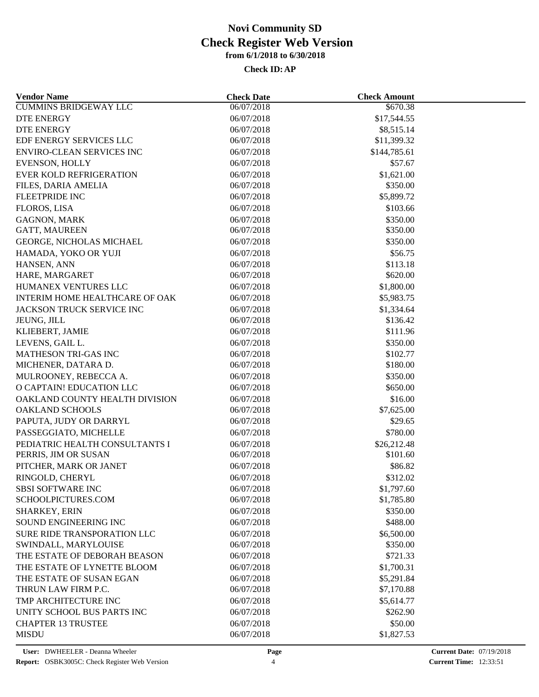| <b>Vendor Name</b>                 | <b>Check Date</b>        | <b>Check Amount</b>    |  |
|------------------------------------|--------------------------|------------------------|--|
| <b>CUMMINS BRIDGEWAY LLC</b>       | 06/07/2018               | \$670.38               |  |
| DTE ENERGY                         | 06/07/2018               | \$17,544.55            |  |
| <b>DTE ENERGY</b>                  | 06/07/2018               | \$8,515.14             |  |
| EDF ENERGY SERVICES LLC            | 06/07/2018               | \$11,399.32            |  |
| <b>ENVIRO-CLEAN SERVICES INC</b>   | 06/07/2018               | \$144,785.61           |  |
| EVENSON, HOLLY                     | 06/07/2018               | \$57.67                |  |
| <b>EVER KOLD REFRIGERATION</b>     | 06/07/2018               | \$1,621.00             |  |
| FILES, DARIA AMELIA                | 06/07/2018               | \$350.00               |  |
| <b>FLEETPRIDE INC</b>              | 06/07/2018               | \$5,899.72             |  |
| FLOROS, LISA                       | 06/07/2018               | \$103.66               |  |
| <b>GAGNON, MARK</b>                | 06/07/2018               | \$350.00               |  |
| GATT, MAUREEN                      | 06/07/2018               | \$350.00               |  |
| GEORGE, NICHOLAS MICHAEL           | 06/07/2018               | \$350.00               |  |
| HAMADA, YOKO OR YUJI               | 06/07/2018               | \$56.75                |  |
| HANSEN, ANN                        | 06/07/2018               | \$113.18               |  |
| HARE, MARGARET                     | 06/07/2018               | \$620.00               |  |
| HUMANEX VENTURES LLC               | 06/07/2018               | \$1,800.00             |  |
| INTERIM HOME HEALTHCARE OF OAK     | 06/07/2018               | \$5,983.75             |  |
| JACKSON TRUCK SERVICE INC          | 06/07/2018               | \$1,334.64             |  |
| JEUNG, JILL                        | 06/07/2018               | \$136.42               |  |
| KLIEBERT, JAMIE                    | 06/07/2018               | \$111.96               |  |
| LEVENS, GAIL L.                    | 06/07/2018               | \$350.00               |  |
| <b>MATHESON TRI-GAS INC</b>        | 06/07/2018               | \$102.77               |  |
| MICHENER, DATARA D.                | 06/07/2018               | \$180.00               |  |
| MULROONEY, REBECCA A.              | 06/07/2018               | \$350.00               |  |
| O CAPTAIN! EDUCATION LLC           | 06/07/2018               | \$650.00               |  |
| OAKLAND COUNTY HEALTH DIVISION     | 06/07/2018               | \$16.00                |  |
| <b>OAKLAND SCHOOLS</b>             | 06/07/2018               | \$7,625.00             |  |
| PAPUTA, JUDY OR DARRYL             | 06/07/2018               | \$29.65                |  |
| PASSEGGIATO, MICHELLE              | 06/07/2018               | \$780.00               |  |
| PEDIATRIC HEALTH CONSULTANTS I     | 06/07/2018               | \$26,212.48            |  |
| PERRIS, JIM OR SUSAN               | 06/07/2018               | \$101.60               |  |
| PITCHER, MARK OR JANET             | 06/07/2018               | \$86.82                |  |
| RINGOLD, CHERYL                    | 06/07/2018               | \$312.02               |  |
| <b>SBSI SOFTWARE INC</b>           | 06/07/2018               | \$1,797.60             |  |
| SCHOOLPICTURES.COM                 | 06/07/2018               | \$1,785.80             |  |
| SHARKEY, ERIN                      | 06/07/2018               | \$350.00               |  |
| SOUND ENGINEERING INC              | 06/07/2018               | \$488.00               |  |
|                                    |                          |                        |  |
| <b>SURE RIDE TRANSPORATION LLC</b> | 06/07/2018<br>06/07/2018 | \$6,500.00<br>\$350.00 |  |
| SWINDALL, MARYLOUISE               |                          |                        |  |
| THE ESTATE OF DEBORAH BEASON       | 06/07/2018               | \$721.33               |  |
| THE ESTATE OF LYNETTE BLOOM        | 06/07/2018               | \$1,700.31             |  |
| THE ESTATE OF SUSAN EGAN           | 06/07/2018               | \$5,291.84             |  |
| THRUN LAW FIRM P.C.                | 06/07/2018               | \$7,170.88             |  |
| TMP ARCHITECTURE INC               | 06/07/2018               | \$5,614.77             |  |
| UNITY SCHOOL BUS PARTS INC         | 06/07/2018               | \$262.90               |  |
| <b>CHAPTER 13 TRUSTEE</b>          | 06/07/2018               | \$50.00                |  |
| <b>MISDU</b>                       | 06/07/2018               | \$1,827.53             |  |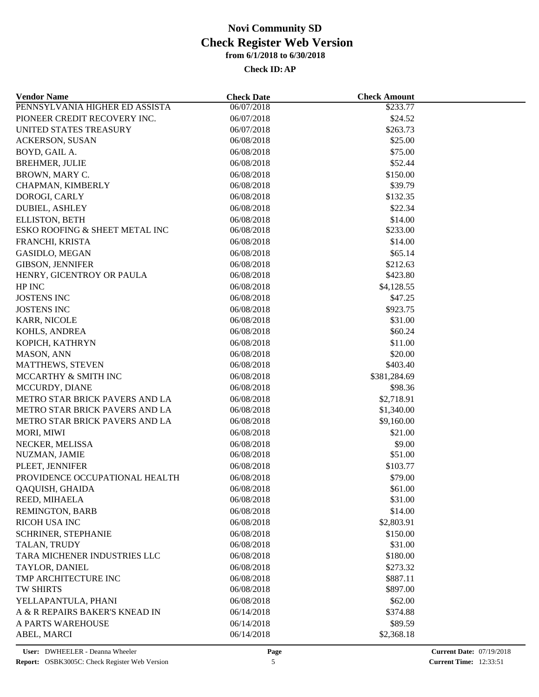| <b>Vendor Name</b>             | <b>Check Date</b> | <b>Check Amount</b> |  |
|--------------------------------|-------------------|---------------------|--|
| PENNSYLVANIA HIGHER ED ASSISTA | 06/07/2018        | \$233.77            |  |
| PIONEER CREDIT RECOVERY INC.   | 06/07/2018        | \$24.52             |  |
| UNITED STATES TREASURY         | 06/07/2018        | \$263.73            |  |
| ACKERSON, SUSAN                | 06/08/2018        | \$25.00             |  |
| BOYD, GAIL A.                  | 06/08/2018        | \$75.00             |  |
| <b>BREHMER, JULIE</b>          | 06/08/2018        | \$52.44             |  |
| BROWN, MARY C.                 | 06/08/2018        | \$150.00            |  |
| CHAPMAN, KIMBERLY              | 06/08/2018        | \$39.79             |  |
| DOROGI, CARLY                  | 06/08/2018        | \$132.35            |  |
| <b>DUBIEL, ASHLEY</b>          | 06/08/2018        | \$22.34             |  |
| ELLISTON, BETH                 | 06/08/2018        | \$14.00             |  |
| ESKO ROOFING & SHEET METAL INC | 06/08/2018        | \$233.00            |  |
| FRANCHI, KRISTA                | 06/08/2018        | \$14.00             |  |
| GASIDLO, MEGAN                 | 06/08/2018        | \$65.14             |  |
| <b>GIBSON, JENNIFER</b>        | 06/08/2018        | \$212.63            |  |
| HENRY, GICENTROY OR PAULA      | 06/08/2018        | \$423.80            |  |
| HP INC                         | 06/08/2018        | \$4,128.55          |  |
| <b>JOSTENS INC</b>             | 06/08/2018        | \$47.25             |  |
| <b>JOSTENS INC</b>             | 06/08/2018        | \$923.75            |  |
| KARR, NICOLE                   | 06/08/2018        | \$31.00             |  |
| KOHLS, ANDREA                  | 06/08/2018        | \$60.24             |  |
| KOPICH, KATHRYN                | 06/08/2018        | \$11.00             |  |
| MASON, ANN                     | 06/08/2018        | \$20.00             |  |
| MATTHEWS, STEVEN               | 06/08/2018        | \$403.40            |  |
| MCCARTHY & SMITH INC           | 06/08/2018        | \$381,284.69        |  |
| MCCURDY, DIANE                 | 06/08/2018        | \$98.36             |  |
| METRO STAR BRICK PAVERS AND LA | 06/08/2018        | \$2,718.91          |  |
| METRO STAR BRICK PAVERS AND LA | 06/08/2018        | \$1,340.00          |  |
| METRO STAR BRICK PAVERS AND LA | 06/08/2018        | \$9,160.00          |  |
| MORI, MIWI                     | 06/08/2018        | \$21.00             |  |
| NECKER, MELISSA                | 06/08/2018        | \$9.00              |  |
| NUZMAN, JAMIE                  | 06/08/2018        | \$51.00             |  |
| PLEET, JENNIFER                | 06/08/2018        | \$103.77            |  |
| PROVIDENCE OCCUPATIONAL HEALTH | 06/08/2018        | \$79.00             |  |
| QAQUISH, GHAIDA                | 06/08/2018        | \$61.00             |  |
| REED, MIHAELA                  | 06/08/2018        | \$31.00             |  |
| REMINGTON, BARB                | 06/08/2018        | \$14.00             |  |
| <b>RICOH USA INC</b>           | 06/08/2018        | \$2,803.91          |  |
| SCHRINER, STEPHANIE            | 06/08/2018        | \$150.00            |  |
| TALAN, TRUDY                   | 06/08/2018        | \$31.00             |  |
| TARA MICHENER INDUSTRIES LLC   | 06/08/2018        | \$180.00            |  |
| TAYLOR, DANIEL                 | 06/08/2018        | \$273.32            |  |
| TMP ARCHITECTURE INC           | 06/08/2018        | \$887.11            |  |
| <b>TW SHIRTS</b>               | 06/08/2018        | \$897.00            |  |
| YELLAPANTULA, PHANI            | 06/08/2018        | \$62.00             |  |
| A & R REPAIRS BAKER'S KNEAD IN | 06/14/2018        | \$374.88            |  |
| A PARTS WAREHOUSE              | 06/14/2018        | \$89.59             |  |
| ABEL, MARCI                    | 06/14/2018        | \$2,368.18          |  |
|                                |                   |                     |  |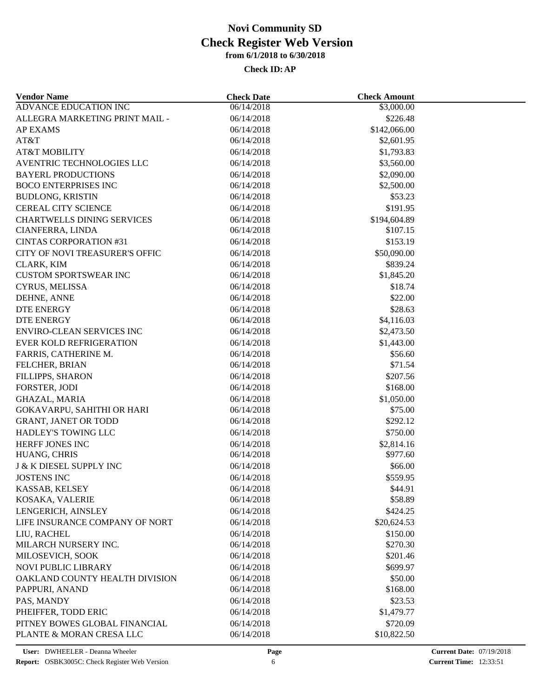| <b>Vendor Name</b>                 | <b>Check Date</b> | <b>Check Amount</b> |  |
|------------------------------------|-------------------|---------------------|--|
| <b>ADVANCE EDUCATION INC</b>       | 06/14/2018        | \$3,000.00          |  |
| ALLEGRA MARKETING PRINT MAIL -     | 06/14/2018        | \$226.48            |  |
| <b>AP EXAMS</b>                    | 06/14/2018        | \$142,066.00        |  |
| AT&T                               | 06/14/2018        | \$2,601.95          |  |
| <b>AT&amp;T MOBILITY</b>           | 06/14/2018        | \$1,793.83          |  |
| AVENTRIC TECHNOLOGIES LLC          | 06/14/2018        | \$3,560.00          |  |
| <b>BAYERL PRODUCTIONS</b>          | 06/14/2018        | \$2,090.00          |  |
| <b>BOCO ENTERPRISES INC</b>        | 06/14/2018        | \$2,500.00          |  |
| <b>BUDLONG, KRISTIN</b>            | 06/14/2018        | \$53.23             |  |
| <b>CEREAL CITY SCIENCE</b>         | 06/14/2018        | \$191.95            |  |
| <b>CHARTWELLS DINING SERVICES</b>  | 06/14/2018        | \$194,604.89        |  |
| CIANFERRA, LINDA                   | 06/14/2018        | \$107.15            |  |
| <b>CINTAS CORPORATION #31</b>      | 06/14/2018        | \$153.19            |  |
| CITY OF NOVI TREASURER'S OFFIC     | 06/14/2018        | \$50,090.00         |  |
| CLARK, KIM                         | 06/14/2018        | \$839.24            |  |
| <b>CUSTOM SPORTSWEAR INC</b>       | 06/14/2018        | \$1,845.20          |  |
| CYRUS, MELISSA                     | 06/14/2018        | \$18.74             |  |
| DEHNE, ANNE                        | 06/14/2018        | \$22.00             |  |
| <b>DTE ENERGY</b>                  | 06/14/2018        | \$28.63             |  |
| DTE ENERGY                         | 06/14/2018        | \$4,116.03          |  |
| <b>ENVIRO-CLEAN SERVICES INC</b>   | 06/14/2018        | \$2,473.50          |  |
| EVER KOLD REFRIGERATION            | 06/14/2018        | \$1,443.00          |  |
| FARRIS, CATHERINE M.               | 06/14/2018        | \$56.60             |  |
| FELCHER, BRIAN                     | 06/14/2018        | \$71.54             |  |
| <b>FILLIPPS, SHARON</b>            | 06/14/2018        | \$207.56            |  |
| FORSTER, JODI                      | 06/14/2018        | \$168.00            |  |
| GHAZAL, MARIA                      | 06/14/2018        | \$1,050.00          |  |
| GOKAVARPU, SAHITHI OR HARI         | 06/14/2018        | \$75.00             |  |
| <b>GRANT, JANET OR TODD</b>        | 06/14/2018        | \$292.12            |  |
| <b>HADLEY'S TOWING LLC</b>         |                   | \$750.00            |  |
|                                    | 06/14/2018        |                     |  |
| HERFF JONES INC                    | 06/14/2018        | \$2,814.16          |  |
| HUANG, CHRIS                       | 06/14/2018        | \$977.60            |  |
| <b>J &amp; K DIESEL SUPPLY INC</b> | 06/14/2018        | \$66.00             |  |
| <b>JOSTENS INC</b>                 | 06/14/2018        | \$559.95            |  |
| KASSAB, KELSEY                     | 06/14/2018        | \$44.91             |  |
| KOSAKA, VALERIE                    | 06/14/2018        | \$58.89             |  |
| LENGERICH, AINSLEY                 | 06/14/2018        | \$424.25            |  |
| LIFE INSURANCE COMPANY OF NORT     | 06/14/2018        | \$20,624.53         |  |
| LIU, RACHEL                        | 06/14/2018        | \$150.00            |  |
| MILARCH NURSERY INC.               | 06/14/2018        | \$270.30            |  |
| MILOSEVICH, SOOK                   | 06/14/2018        | \$201.46            |  |
| <b>NOVI PUBLIC LIBRARY</b>         | 06/14/2018        | \$699.97            |  |
| OAKLAND COUNTY HEALTH DIVISION     | 06/14/2018        | \$50.00             |  |
| PAPPURI, ANAND                     | 06/14/2018        | \$168.00            |  |
| PAS, MANDY                         | 06/14/2018        | \$23.53             |  |
| PHEIFFER, TODD ERIC                | 06/14/2018        | \$1,479.77          |  |
| PITNEY BOWES GLOBAL FINANCIAL      | 06/14/2018        | \$720.09            |  |
| PLANTE & MORAN CRESA LLC           | 06/14/2018        | \$10,822.50         |  |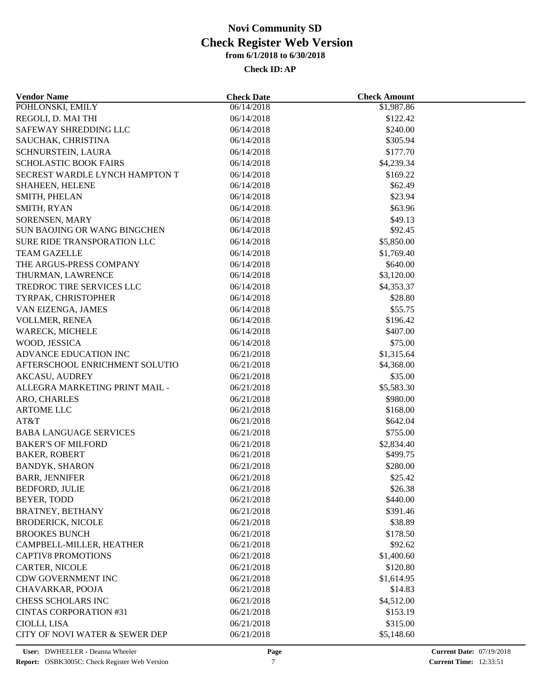| <b>Vendor Name</b>                  | <b>Check Date</b> | <b>Check Amount</b> |  |
|-------------------------------------|-------------------|---------------------|--|
| POHLONSKI, EMILY                    | 06/14/2018        | \$1,987.86          |  |
| REGOLI, D. MAI THI                  | 06/14/2018        | \$122.42            |  |
| SAFEWAY SHREDDING LLC               | 06/14/2018        | \$240.00            |  |
| SAUCHAK, CHRISTINA                  | 06/14/2018        | \$305.94            |  |
| SCHNURSTEIN, LAURA                  | 06/14/2018        | \$177.70            |  |
| <b>SCHOLASTIC BOOK FAIRS</b>        | 06/14/2018        | \$4,239.34          |  |
| SECREST WARDLE LYNCH HAMPTON T      | 06/14/2018        | \$169.22            |  |
| SHAHEEN, HELENE                     | 06/14/2018        | \$62.49             |  |
| SMITH, PHELAN                       | 06/14/2018        | \$23.94             |  |
| SMITH, RYAN                         | 06/14/2018        | \$63.96             |  |
| SORENSEN, MARY                      | 06/14/2018        | \$49.13             |  |
| <b>SUN BAOJING OR WANG BINGCHEN</b> | 06/14/2018        | \$92.45             |  |
| SURE RIDE TRANSPORATION LLC         | 06/14/2018        | \$5,850.00          |  |
| <b>TEAM GAZELLE</b>                 | 06/14/2018        | \$1,769.40          |  |
| THE ARGUS-PRESS COMPANY             | 06/14/2018        | \$640.00            |  |
| THURMAN, LAWRENCE                   | 06/14/2018        | \$3,120.00          |  |
| TREDROC TIRE SERVICES LLC           | 06/14/2018        | \$4,353.37          |  |
| TYRPAK, CHRISTOPHER                 | 06/14/2018        | \$28.80             |  |
| VAN EIZENGA, JAMES                  | 06/14/2018        | \$55.75             |  |
| VOLLMER, RENEA                      | 06/14/2018        | \$196.42            |  |
| WARECK, MICHELE                     | 06/14/2018        | \$407.00            |  |
| WOOD, JESSICA                       | 06/14/2018        | \$75.00             |  |
|                                     |                   |                     |  |
| ADVANCE EDUCATION INC               | 06/21/2018        | \$1,315.64          |  |
| AFTERSCHOOL ENRICHMENT SOLUTIO      | 06/21/2018        | \$4,368.00          |  |
| <b>AKCASU, AUDREY</b>               | 06/21/2018        | \$35.00             |  |
| ALLEGRA MARKETING PRINT MAIL -      | 06/21/2018        | \$5,583.30          |  |
| ARO, CHARLES                        | 06/21/2018        | \$980.00            |  |
| <b>ARTOME LLC</b>                   | 06/21/2018        | \$168.00            |  |
| AT&T                                | 06/21/2018        | \$642.04            |  |
| <b>BABA LANGUAGE SERVICES</b>       | 06/21/2018        | \$755.00            |  |
| <b>BAKER'S OF MILFORD</b>           | 06/21/2018        | \$2,834.40          |  |
| <b>BAKER, ROBERT</b>                | 06/21/2018        | \$499.75            |  |
| <b>BANDYK, SHARON</b>               | 06/21/2018        | \$280.00            |  |
| <b>BARR, JENNIFER</b>               | 06/21/2018        | \$25.42             |  |
| BEDFORD, JULIE                      | 06/21/2018        | \$26.38             |  |
| <b>BEYER, TODD</b>                  | 06/21/2018        | \$440.00            |  |
| <b>BRATNEY, BETHANY</b>             | 06/21/2018        | \$391.46            |  |
| <b>BRODERICK, NICOLE</b>            | 06/21/2018        | \$38.89             |  |
| <b>BROOKES BUNCH</b>                | 06/21/2018        | \$178.50            |  |
| CAMPBELL-MILLER, HEATHER            | 06/21/2018        | \$92.62             |  |
| <b>CAPTIV8 PROMOTIONS</b>           | 06/21/2018        | \$1,400.60          |  |
| CARTER, NICOLE                      | 06/21/2018        | \$120.80            |  |
| CDW GOVERNMENT INC                  | 06/21/2018        | \$1,614.95          |  |
| CHAVARKAR, POOJA                    | 06/21/2018        | \$14.83             |  |
| CHESS SCHOLARS INC                  | 06/21/2018        | \$4,512.00          |  |
| <b>CINTAS CORPORATION #31</b>       | 06/21/2018        | \$153.19            |  |
| CIOLLI, LISA                        | 06/21/2018        | \$315.00            |  |
| CITY OF NOVI WATER & SEWER DEP      | 06/21/2018        | \$5,148.60          |  |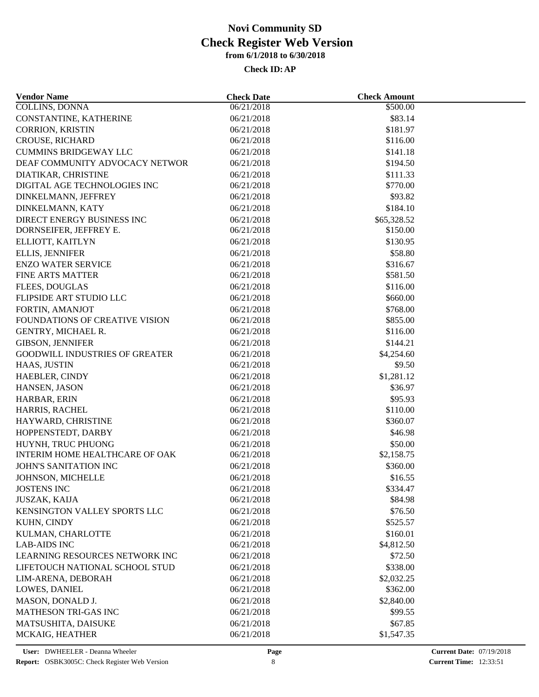| <b>Vendor Name</b>                                   | <b>Check Date</b>        | <b>Check Amount</b>    |  |
|------------------------------------------------------|--------------------------|------------------------|--|
| <b>COLLINS, DONNA</b>                                | 06/21/2018               | \$500.00               |  |
| CONSTANTINE, KATHERINE                               | 06/21/2018               | \$83.14                |  |
| <b>CORRION, KRISTIN</b>                              | 06/21/2018               | \$181.97               |  |
| CROUSE, RICHARD                                      | 06/21/2018               | \$116.00               |  |
| <b>CUMMINS BRIDGEWAY LLC</b>                         | 06/21/2018               | \$141.18               |  |
| DEAF COMMUNITY ADVOCACY NETWOR                       | 06/21/2018               | \$194.50               |  |
| DIATIKAR, CHRISTINE                                  | 06/21/2018               | \$111.33               |  |
| DIGITAL AGE TECHNOLOGIES INC                         | 06/21/2018               | \$770.00               |  |
| DINKELMANN, JEFFREY                                  | 06/21/2018               | \$93.82                |  |
| DINKELMANN, KATY                                     | 06/21/2018               | \$184.10               |  |
| DIRECT ENERGY BUSINESS INC                           | 06/21/2018               | \$65,328.52            |  |
| DORNSEIFER, JEFFREY E.                               | 06/21/2018               | \$150.00               |  |
| ELLIOTT, KAITLYN                                     | 06/21/2018               | \$130.95               |  |
| <b>ELLIS, JENNIFER</b>                               | 06/21/2018               | \$58.80                |  |
| <b>ENZO WATER SERVICE</b>                            | 06/21/2018               | \$316.67               |  |
| <b>FINE ARTS MATTER</b>                              | 06/21/2018               | \$581.50               |  |
| <b>FLEES, DOUGLAS</b>                                | 06/21/2018               | \$116.00               |  |
| FLIPSIDE ART STUDIO LLC                              | 06/21/2018               | \$660.00               |  |
| FORTIN, AMANJOT                                      | 06/21/2018               | \$768.00               |  |
| FOUNDATIONS OF CREATIVE VISION                       | 06/21/2018               | \$855.00               |  |
| GENTRY, MICHAEL R.                                   | 06/21/2018               | \$116.00               |  |
| <b>GIBSON, JENNIFER</b>                              | 06/21/2018               | \$144.21               |  |
| <b>GOODWILL INDUSTRIES OF GREATER</b>                | 06/21/2018               | \$4,254.60             |  |
| HAAS, JUSTIN                                         | 06/21/2018               | \$9.50                 |  |
| HAEBLER, CINDY                                       | 06/21/2018               | \$1,281.12             |  |
| HANSEN, JASON                                        | 06/21/2018               | \$36.97                |  |
| HARBAR, ERIN                                         | 06/21/2018               | \$95.93                |  |
| HARRIS, RACHEL                                       | 06/21/2018               | \$110.00               |  |
| HAYWARD, CHRISTINE                                   | 06/21/2018               | \$360.07               |  |
| HOPPENSTEDT, DARBY                                   | 06/21/2018               | \$46.98                |  |
|                                                      |                          |                        |  |
| HUYNH, TRUC PHUONG<br>INTERIM HOME HEALTHCARE OF OAK | 06/21/2018<br>06/21/2018 | \$50.00                |  |
| JOHN'S SANITATION INC                                |                          | \$2,158.75<br>\$360.00 |  |
|                                                      | 06/21/2018               |                        |  |
| JOHNSON, MICHELLE                                    | 06/21/2018               | \$16.55                |  |
| <b>JOSTENS INC</b>                                   | 06/21/2018               | \$334.47               |  |
| <b>JUSZAK, KAIJA</b>                                 | 06/21/2018               | \$84.98                |  |
| KENSINGTON VALLEY SPORTS LLC                         | 06/21/2018               | \$76.50                |  |
| KUHN, CINDY                                          | 06/21/2018               | \$525.57               |  |
| KULMAN, CHARLOTTE                                    | 06/21/2018               | \$160.01               |  |
| <b>LAB-AIDS INC</b>                                  | 06/21/2018               | \$4,812.50             |  |
| LEARNING RESOURCES NETWORK INC                       | 06/21/2018               | \$72.50                |  |
| LIFETOUCH NATIONAL SCHOOL STUD                       | 06/21/2018               | \$338.00               |  |
| LIM-ARENA, DEBORAH                                   | 06/21/2018               | \$2,032.25             |  |
| LOWES, DANIEL                                        | 06/21/2018               | \$362.00               |  |
| MASON, DONALD J.                                     | 06/21/2018               | \$2,840.00             |  |
| MATHESON TRI-GAS INC                                 | 06/21/2018               | \$99.55                |  |
| MATSUSHITA, DAISUKE                                  | 06/21/2018               | \$67.85                |  |
| MCKAIG, HEATHER                                      | 06/21/2018               | \$1,547.35             |  |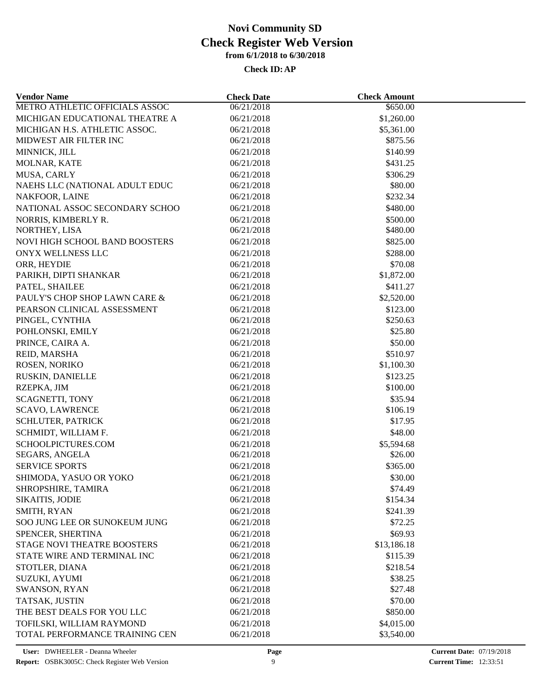| <b>Vendor Name</b>                               | <b>Check Date</b>        | <b>Check Amount</b> |  |
|--------------------------------------------------|--------------------------|---------------------|--|
| METRO ATHLETIC OFFICIALS ASSOC                   | 06/21/2018               | \$650.00            |  |
| MICHIGAN EDUCATIONAL THEATRE A                   | 06/21/2018               | \$1,260.00          |  |
| MICHIGAN H.S. ATHLETIC ASSOC.                    | 06/21/2018               | \$5,361.00          |  |
| MIDWEST AIR FILTER INC                           | 06/21/2018               | \$875.56            |  |
| MINNICK, JILL                                    | 06/21/2018               | \$140.99            |  |
| MOLNAR, KATE                                     | 06/21/2018               | \$431.25            |  |
| MUSA, CARLY                                      | 06/21/2018               | \$306.29            |  |
| NAEHS LLC (NATIONAL ADULT EDUC                   | 06/21/2018               | \$80.00             |  |
| NAKFOOR, LAINE                                   | 06/21/2018               | \$232.34            |  |
| NATIONAL ASSOC SECONDARY SCHOO                   | 06/21/2018               | \$480.00            |  |
| NORRIS, KIMBERLY R.                              | 06/21/2018               | \$500.00            |  |
| NORTHEY, LISA                                    | 06/21/2018               | \$480.00            |  |
| <b>NOVI HIGH SCHOOL BAND BOOSTERS</b>            | 06/21/2018               | \$825.00            |  |
| ONYX WELLNESS LLC                                | 06/21/2018               | \$288.00            |  |
| ORR, HEYDIE                                      | 06/21/2018               | \$70.08             |  |
| PARIKH, DIPTI SHANKAR                            | 06/21/2018               | \$1,872.00          |  |
| PATEL, SHAILEE                                   | 06/21/2018               | \$411.27            |  |
| PAULY'S CHOP SHOP LAWN CARE &                    | 06/21/2018               | \$2,520.00          |  |
| PEARSON CLINICAL ASSESSMENT                      | 06/21/2018               | \$123.00            |  |
| PINGEL, CYNTHIA                                  | 06/21/2018               | \$250.63            |  |
| POHLONSKI, EMILY                                 | 06/21/2018               | \$25.80             |  |
| PRINCE, CAIRA A.                                 | 06/21/2018               | \$50.00             |  |
| REID, MARSHA                                     | 06/21/2018               | \$510.97            |  |
| ROSEN, NORIKO                                    | 06/21/2018               | \$1,100.30          |  |
| RUSKIN, DANIELLE                                 | 06/21/2018               | \$123.25            |  |
| RZEPKA, JIM                                      | 06/21/2018               | \$100.00            |  |
|                                                  |                          | \$35.94             |  |
| <b>SCAGNETTI, TONY</b><br><b>SCAVO, LAWRENCE</b> | 06/21/2018<br>06/21/2018 | \$106.19            |  |
| <b>SCHLUTER, PATRICK</b>                         | 06/21/2018               | \$17.95             |  |
|                                                  |                          |                     |  |
| SCHMIDT, WILLIAM F.                              | 06/21/2018               | \$48.00             |  |
| SCHOOLPICTURES.COM                               | 06/21/2018               | \$5,594.68          |  |
| <b>SEGARS, ANGELA</b>                            | 06/21/2018               | \$26.00             |  |
| <b>SERVICE SPORTS</b>                            | 06/21/2018               | \$365.00            |  |
| SHIMODA, YASUO OR YOKO                           | 06/21/2018               | \$30.00             |  |
| SHROPSHIRE, TAMIRA                               | 06/21/2018               | \$74.49             |  |
| <b>SIKAITIS, JODIE</b>                           | 06/21/2018               | \$154.34            |  |
| SMITH, RYAN                                      | 06/21/2018               | \$241.39            |  |
| SOO JUNG LEE OR SUNOKEUM JUNG                    | 06/21/2018               | \$72.25             |  |
| SPENCER, SHERTINA                                | 06/21/2018               | \$69.93             |  |
| STAGE NOVI THEATRE BOOSTERS                      | 06/21/2018               | \$13,186.18         |  |
| STATE WIRE AND TERMINAL INC                      | 06/21/2018               | \$115.39            |  |
| STOTLER, DIANA                                   | 06/21/2018               | \$218.54            |  |
| <b>SUZUKI, AYUMI</b>                             | 06/21/2018               | \$38.25             |  |
| SWANSON, RYAN                                    | 06/21/2018               | \$27.48             |  |
| TATSAK, JUSTIN                                   | 06/21/2018               | \$70.00             |  |
| THE BEST DEALS FOR YOU LLC                       | 06/21/2018               | \$850.00            |  |
| TOFILSKI, WILLIAM RAYMOND                        | 06/21/2018               | \$4,015.00          |  |
| TOTAL PERFORMANCE TRAINING CEN                   | 06/21/2018               | \$3,540.00          |  |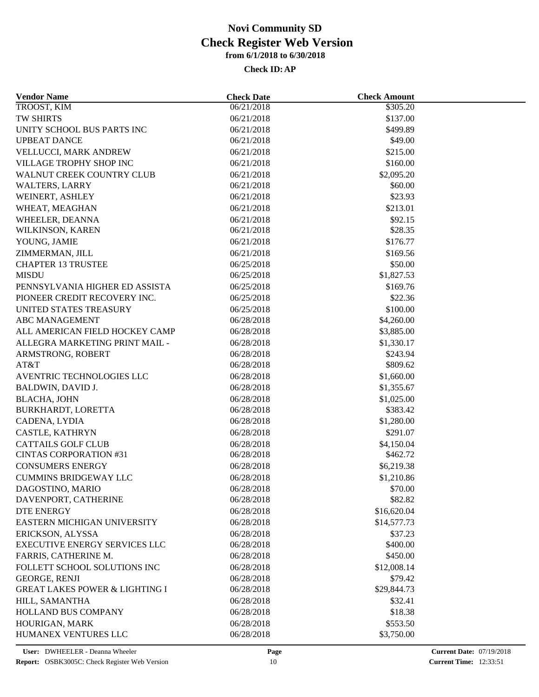| <b>Vendor Name</b>                        | <b>Check Date</b>        | <b>Check Amount</b>    |  |
|-------------------------------------------|--------------------------|------------------------|--|
| TROOST, KIM                               | 06/21/2018               | \$305.20               |  |
| TW SHIRTS                                 | 06/21/2018               | \$137.00               |  |
| UNITY SCHOOL BUS PARTS INC                | 06/21/2018               | \$499.89               |  |
| <b>UPBEAT DANCE</b>                       | 06/21/2018               | \$49.00                |  |
| VELLUCCI, MARK ANDREW                     | 06/21/2018               | \$215.00               |  |
| VILLAGE TROPHY SHOP INC                   | 06/21/2018               | \$160.00               |  |
| WALNUT CREEK COUNTRY CLUB                 | 06/21/2018               | \$2,095.20             |  |
| <b>WALTERS, LARRY</b>                     | 06/21/2018               | \$60.00                |  |
| WEINERT, ASHLEY                           | 06/21/2018               | \$23.93                |  |
| WHEAT, MEAGHAN                            | 06/21/2018               | \$213.01               |  |
| WHEELER, DEANNA                           | 06/21/2018               | \$92.15                |  |
| WILKINSON, KAREN                          | 06/21/2018               | \$28.35                |  |
| YOUNG, JAMIE                              | 06/21/2018               | \$176.77               |  |
| ZIMMERMAN, JILL                           | 06/21/2018               | \$169.56               |  |
| <b>CHAPTER 13 TRUSTEE</b>                 | 06/25/2018               | \$50.00                |  |
| <b>MISDU</b>                              | 06/25/2018               | \$1,827.53             |  |
| PENNSYLVANIA HIGHER ED ASSISTA            | 06/25/2018               | \$169.76               |  |
| PIONEER CREDIT RECOVERY INC.              | 06/25/2018               | \$22.36                |  |
| UNITED STATES TREASURY                    | 06/25/2018               | \$100.00               |  |
| <b>ABC MANAGEMENT</b>                     | 06/28/2018               | \$4,260.00             |  |
| ALL AMERICAN FIELD HOCKEY CAMP            | 06/28/2018               | \$3,885.00             |  |
| ALLEGRA MARKETING PRINT MAIL -            | 06/28/2018               | \$1,330.17             |  |
| ARMSTRONG, ROBERT                         | 06/28/2018               | \$243.94               |  |
| AT&T                                      | 06/28/2018               | \$809.62               |  |
| AVENTRIC TECHNOLOGIES LLC                 | 06/28/2018               | \$1,660.00             |  |
| <b>BALDWIN, DAVID J.</b>                  | 06/28/2018               | \$1,355.67             |  |
| <b>BLACHA, JOHN</b>                       | 06/28/2018               | \$1,025.00             |  |
| BURKHARDT, LORETTA                        | 06/28/2018               | \$383.42               |  |
| CADENA, LYDIA                             | 06/28/2018               | \$1,280.00             |  |
| CASTLE, KATHRYN                           | 06/28/2018               | \$291.07               |  |
| <b>CATTAILS GOLF CLUB</b>                 |                          |                        |  |
| <b>CINTAS CORPORATION #31</b>             | 06/28/2018<br>06/28/2018 | \$4,150.04<br>\$462.72 |  |
| <b>CONSUMERS ENERGY</b>                   | 06/28/2018               |                        |  |
|                                           |                          | \$6,219.38             |  |
| <b>CUMMINS BRIDGEWAY LLC</b>              | 06/28/2018               | \$1,210.86             |  |
| DAGOSTINO, MARIO                          | 06/28/2018               | \$70.00                |  |
| DAVENPORT, CATHERINE                      | 06/28/2018               | \$82.82                |  |
| <b>DTE ENERGY</b>                         | 06/28/2018               | \$16,620.04            |  |
| EASTERN MICHIGAN UNIVERSITY               | 06/28/2018               | \$14,577.73            |  |
| ERICKSON, ALYSSA                          | 06/28/2018               | \$37.23                |  |
| EXECUTIVE ENERGY SERVICES LLC             | 06/28/2018               | \$400.00               |  |
| FARRIS, CATHERINE M.                      | 06/28/2018               | \$450.00               |  |
| FOLLETT SCHOOL SOLUTIONS INC              | 06/28/2018               | \$12,008.14            |  |
| <b>GEORGE, RENJI</b>                      | 06/28/2018               | \$79.42                |  |
| <b>GREAT LAKES POWER &amp; LIGHTING I</b> | 06/28/2018               | \$29,844.73            |  |
| HILL, SAMANTHA                            | 06/28/2018               | \$32.41                |  |
| <b>HOLLAND BUS COMPANY</b>                | 06/28/2018               | \$18.38                |  |
| HOURIGAN, MARK                            | 06/28/2018               | \$553.50               |  |
| HUMANEX VENTURES LLC                      | 06/28/2018               | \$3,750.00             |  |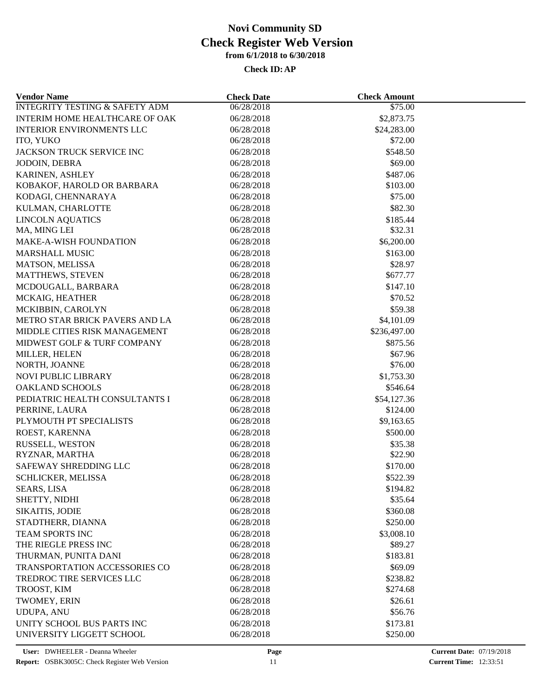| <b>Vendor Name</b>                        | <b>Check Date</b> | <b>Check Amount</b> |  |
|-------------------------------------------|-------------------|---------------------|--|
| <b>INTEGRITY TESTING &amp; SAFETY ADM</b> | 06/28/2018        | \$75.00             |  |
| INTERIM HOME HEALTHCARE OF OAK            | 06/28/2018        | \$2,873.75          |  |
| <b>INTERIOR ENVIRONMENTS LLC</b>          | 06/28/2018        | \$24,283.00         |  |
| ITO, YUKO                                 | 06/28/2018        | \$72.00             |  |
| JACKSON TRUCK SERVICE INC                 | 06/28/2018        | \$548.50            |  |
| JODOIN, DEBRA                             | 06/28/2018        | \$69.00             |  |
| KARINEN, ASHLEY                           | 06/28/2018        | \$487.06            |  |
| KOBAKOF, HAROLD OR BARBARA                | 06/28/2018        | \$103.00            |  |
| KODAGI, CHENNARAYA                        | 06/28/2018        | \$75.00             |  |
| KULMAN, CHARLOTTE                         | 06/28/2018        | \$82.30             |  |
| <b>LINCOLN AQUATICS</b>                   | 06/28/2018        | \$185.44            |  |
| MA, MING LEI                              | 06/28/2018        | \$32.31             |  |
| <b>MAKE-A-WISH FOUNDATION</b>             | 06/28/2018        | \$6,200.00          |  |
| <b>MARSHALL MUSIC</b>                     | 06/28/2018        | \$163.00            |  |
| MATSON, MELISSA                           | 06/28/2018        | \$28.97             |  |
| MATTHEWS, STEVEN                          | 06/28/2018        | \$677.77            |  |
| MCDOUGALL, BARBARA                        | 06/28/2018        | \$147.10            |  |
| MCKAIG, HEATHER                           | 06/28/2018        | \$70.52             |  |
| MCKIBBIN, CAROLYN                         | 06/28/2018        | \$59.38             |  |
| METRO STAR BRICK PAVERS AND LA            | 06/28/2018        | \$4,101.09          |  |
| MIDDLE CITIES RISK MANAGEMENT             | 06/28/2018        | \$236,497.00        |  |
| MIDWEST GOLF & TURF COMPANY               | 06/28/2018        | \$875.56            |  |
| MILLER, HELEN                             | 06/28/2018        | \$67.96             |  |
| NORTH, JOANNE                             | 06/28/2018        | \$76.00             |  |
| <b>NOVI PUBLIC LIBRARY</b>                | 06/28/2018        | \$1,753.30          |  |
| <b>OAKLAND SCHOOLS</b>                    | 06/28/2018        | \$546.64            |  |
| PEDIATRIC HEALTH CONSULTANTS I            | 06/28/2018        | \$54,127.36         |  |
| PERRINE, LAURA                            | 06/28/2018        | \$124.00            |  |
| PLYMOUTH PT SPECIALISTS                   | 06/28/2018        | \$9,163.65          |  |
| ROEST, KARENNA                            | 06/28/2018        | \$500.00            |  |
| RUSSELL, WESTON                           | 06/28/2018        | \$35.38             |  |
| RYZNAR, MARTHA                            | 06/28/2018        | \$22.90             |  |
| SAFEWAY SHREDDING LLC                     | 06/28/2018        | \$170.00            |  |
| SCHLICKER, MELISSA                        | 06/28/2018        | \$522.39            |  |
| <b>SEARS, LISA</b>                        | 06/28/2018        | \$194.82            |  |
| SHETTY, NIDHI                             | 06/28/2018        | \$35.64             |  |
| SIKAITIS, JODIE                           | 06/28/2018        | \$360.08            |  |
| STADTHERR, DIANNA                         | 06/28/2018        | \$250.00            |  |
| <b>TEAM SPORTS INC</b>                    | 06/28/2018        | \$3,008.10          |  |
| THE RIEGLE PRESS INC                      | 06/28/2018        | \$89.27             |  |
| THURMAN, PUNITA DANI                      | 06/28/2018        | \$183.81            |  |
| TRANSPORTATION ACCESSORIES CO             | 06/28/2018        | \$69.09             |  |
| <b>TREDROC TIRE SERVICES LLC</b>          | 06/28/2018        | \$238.82            |  |
| TROOST, KIM                               | 06/28/2018        | \$274.68            |  |
| TWOMEY, ERIN                              | 06/28/2018        | \$26.61             |  |
|                                           |                   |                     |  |
| <b>UDUPA, ANU</b>                         | 06/28/2018        | \$56.76             |  |
| UNITY SCHOOL BUS PARTS INC                | 06/28/2018        | \$173.81            |  |
| UNIVERSITY LIGGETT SCHOOL                 | 06/28/2018        | \$250.00            |  |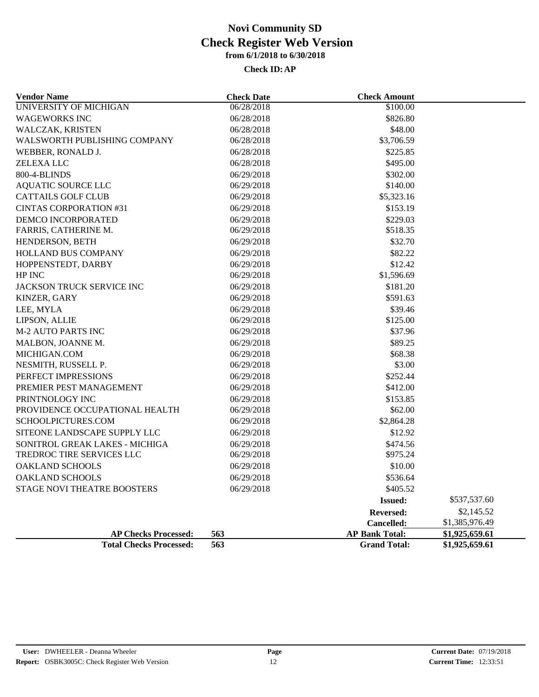| <b>Vendor Name</b>                 | <b>Check Date</b> | <b>Check Amount</b>   |                |
|------------------------------------|-------------------|-----------------------|----------------|
| <b>UNIVERSITY OF MICHIGAN</b>      | 06/28/2018        | \$100.00              |                |
| <b>WAGEWORKS INC</b>               | 06/28/2018        | \$826.80              |                |
| WALCZAK, KRISTEN                   | 06/28/2018        | \$48.00               |                |
| WALSWORTH PUBLISHING COMPANY       | 06/28/2018        | \$3,706.59            |                |
| WEBBER, RONALD J.                  | 06/28/2018        | \$225.85              |                |
| <b>ZELEXA LLC</b>                  | 06/28/2018        | \$495.00              |                |
| 800-4-BLINDS                       | 06/29/2018        | \$302.00              |                |
| <b>AQUATIC SOURCE LLC</b>          | 06/29/2018        | \$140.00              |                |
| <b>CATTAILS GOLF CLUB</b>          | 06/29/2018        | \$5,323.16            |                |
| <b>CINTAS CORPORATION #31</b>      | 06/29/2018        | \$153.19              |                |
| DEMCO INCORPORATED                 | 06/29/2018        | \$229.03              |                |
| FARRIS, CATHERINE M.               | 06/29/2018        | \$518.35              |                |
| HENDERSON, BETH                    | 06/29/2018        | \$32.70               |                |
| <b>HOLLAND BUS COMPANY</b>         | 06/29/2018        | \$82.22               |                |
| HOPPENSTEDT, DARBY                 | 06/29/2018        | \$12.42               |                |
| HP INC                             | 06/29/2018        | \$1,596.69            |                |
| JACKSON TRUCK SERVICE INC          | 06/29/2018        | \$181.20              |                |
| KINZER, GARY                       | 06/29/2018        | \$591.63              |                |
| LEE, MYLA                          | 06/29/2018        | \$39.46               |                |
| LIPSON, ALLIE                      | 06/29/2018        | \$125.00              |                |
| <b>M-2 AUTO PARTS INC</b>          | 06/29/2018        | \$37.96               |                |
| MALBON, JOANNE M.                  | 06/29/2018        | \$89.25               |                |
| MICHIGAN.COM                       | 06/29/2018        | \$68.38               |                |
| NESMITH, RUSSELL P.                | 06/29/2018        | \$3.00                |                |
| PERFECT IMPRESSIONS                | 06/29/2018        | \$252.44              |                |
| PREMIER PEST MANAGEMENT            | 06/29/2018        | \$412.00              |                |
| PRINTNOLOGY INC                    | 06/29/2018        | \$153.85              |                |
| PROVIDENCE OCCUPATIONAL HEALTH     | 06/29/2018        | \$62.00               |                |
| SCHOOLPICTURES.COM                 | 06/29/2018        | \$2,864.28            |                |
| SITEONE LANDSCAPE SUPPLY LLC       | 06/29/2018        | \$12.92               |                |
| SONITROL GREAK LAKES - MICHIGA     | 06/29/2018        | \$474.56              |                |
| TREDROC TIRE SERVICES LLC          | 06/29/2018        | \$975.24              |                |
| <b>OAKLAND SCHOOLS</b>             | 06/29/2018        | \$10.00               |                |
| <b>OAKLAND SCHOOLS</b>             | 06/29/2018        | \$536.64              |                |
| <b>STAGE NOVI THEATRE BOOSTERS</b> | 06/29/2018        | \$405.52              |                |
|                                    |                   | <b>Issued:</b>        | \$537,537.60   |
|                                    |                   | <b>Reversed:</b>      | \$2,145.52     |
|                                    |                   | Cancelled:            | \$1,385,976.49 |
| <b>AP Checks Processed:</b>        | 563               | <b>AP Bank Total:</b> | \$1,925,659.61 |
| <b>Total Checks Processed:</b>     | 563               | <b>Grand Total:</b>   | \$1,925,659.61 |